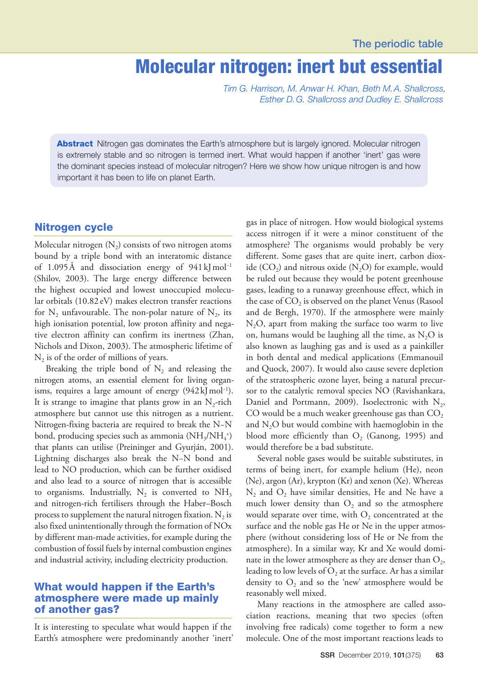## Molecular nitrogen: inert but essential

*Tim G. Harrison, M. Anwar H. Khan, Beth M.A. Shallcross, Esther D.G. Shallcross and Dudley E. Shallcross*

Abstract Nitrogen gas dominates the Earth's atmosphere but is largely ignored. Molecular nitrogen is extremely stable and so nitrogen is termed inert. What would happen if another 'inert' gas were the dominant species instead of molecular nitrogen? Here we show how unique nitrogen is and how important it has been to life on planet Earth.

#### Nitrogen cycle

Molecular nitrogen  $(N_2)$  consists of two nitrogen atoms bound by a triple bond with an interatomic distance of 1.095Å and dissociation energy of 941kJmol−1 (Shilov, 2003). The large energy difference between the highest occupied and lowest unoccupied molecular orbitals (10.82 eV) makes electron transfer reactions for  $N_2$  unfavourable. The non-polar nature of  $N_2$ , its high ionisation potential, low proton affinity and negative electron affinity can confirm its inertness (Zhan, Nichols and Dixon, 2003). The atmospheric lifetime of  $N_2$  is of the order of millions of years.

Breaking the triple bond of  $N_2$  and releasing the nitrogen atoms, an essential element for living organisms, requires a large amount of energy  $(942 \text{ kJ} \text{ mol}^{-1})$ . It is strange to imagine that plants grow in an  $N_2$ -rich atmosphere but cannot use this nitrogen as a nutrient. Nitrogen-fixing bacteria are required to break the N−N bond, producing species such as ammonia  $(\mathrm{NH}_3/\mathrm{NH}_4{}^*)$ that plants can utilise (Preininger and Gyurján, 2001). Lightning discharges also break the N−N bond and lead to NO production, which can be further oxidised and also lead to a source of nitrogen that is accessible to organisms. Industrially,  $N_2$  is converted to  $NH<sub>3</sub>$ and nitrogen-rich fertilisers through the Haber–Bosch process to supplement the natural nitrogen fixation.  $N<sub>2</sub>$  is also fixed unintentionally through the formation of NOx by different man-made activities, for example during the combustion of fossil fuels by internal combustion engines and industrial activity, including electricity production.

### What would happen if the Earth's atmosphere were made up mainly of another gas?

It is interesting to speculate what would happen if the Earth's atmosphere were predominantly another 'inert' gas in place of nitrogen. How would biological systems access nitrogen if it were a minor constituent of the atmosphere? The organisms would probably be very different. Some gases that are quite inert, carbon dioxide  $(CO_2)$  and nitrous oxide  $(N_2O)$  for example, would be ruled out because they would be potent greenhouse gases, leading to a runaway greenhouse effect, which in the case of  $CO<sub>2</sub>$  is observed on the planet Venus (Rasool and de Bergh, 1970). If the atmosphere were mainly  $N_2O$ , apart from making the surface too warm to live on, humans would be laughing all the time, as  $N_2O$  is also known as laughing gas and is used as a painkiller in both dental and medical applications (Emmanouil and Quock, 2007). It would also cause severe depletion of the stratospheric ozone layer, being a natural precursor to the catalytic removal species NO (Ravishankara, Daniel and Portmann, 2009). Isoelectronic with  $N_2$ , CO would be a much weaker greenhouse gas than  $CO<sub>2</sub>$ and  $N_2O$  but would combine with haemoglobin in the blood more efficiently than  $O<sub>2</sub>$  (Ganong, 1995) and would therefore be a bad substitute.

Several noble gases would be suitable substitutes, in terms of being inert, for example helium (He), neon (Ne), argon (Ar), krypton (Kr) and xenon (Xe). Whereas  $N_2$  and  $O_2$  have similar densities, He and Ne have a much lower density than  $O_2$  and so the atmosphere would separate over time, with  $O<sub>2</sub>$  concentrated at the surface and the noble gas He or Ne in the upper atmosphere (without considering loss of He or Ne from the atmosphere). In a similar way, Kr and Xe would dominate in the lower atmosphere as they are denser than  $O_2$ , leading to low levels of  $O_2$  at the surface. Ar has a similar density to  $O_2$  and so the 'new' atmosphere would be reasonably well mixed.

Many reactions in the atmosphere are called association reactions, meaning that two species (often involving free radicals) come together to form a new molecule. One of the most important reactions leads to